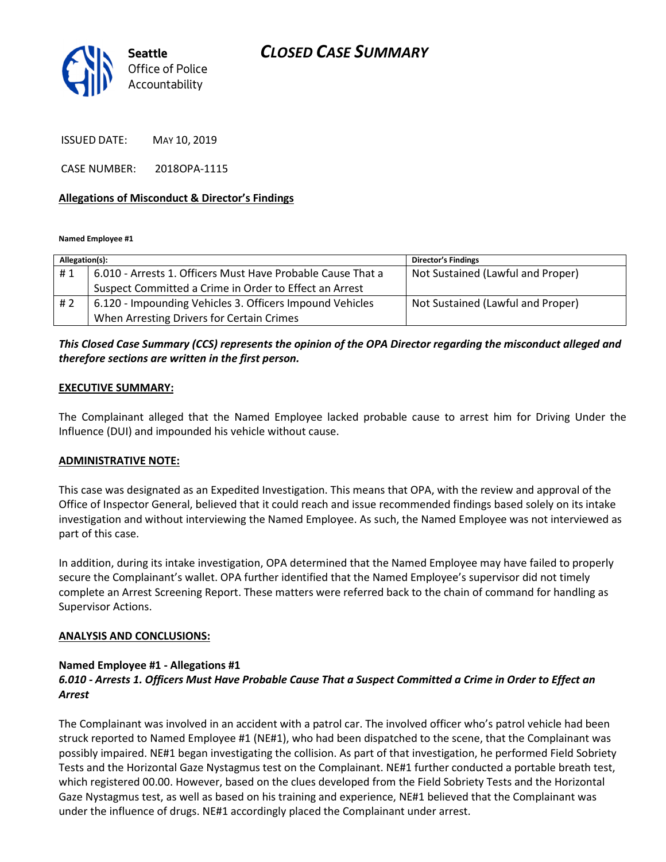

ISSUED DATE: MAY 10, 2019

CASE NUMBER: 2018OPA-1115

#### Allegations of Misconduct & Director's Findings

Named Employee #1

| Allegation(s): |                                                             | <b>Director's Findings</b>        |
|----------------|-------------------------------------------------------------|-----------------------------------|
| #1             | 6.010 - Arrests 1. Officers Must Have Probable Cause That a | Not Sustained (Lawful and Proper) |
|                | Suspect Committed a Crime in Order to Effect an Arrest      |                                   |
| #2             | 6.120 - Impounding Vehicles 3. Officers Impound Vehicles    | Not Sustained (Lawful and Proper) |
|                | When Arresting Drivers for Certain Crimes                   |                                   |

# This Closed Case Summary (CCS) represents the opinion of the OPA Director regarding the misconduct alleged and therefore sections are written in the first person.

## EXECUTIVE SUMMARY:

The Complainant alleged that the Named Employee lacked probable cause to arrest him for Driving Under the Influence (DUI) and impounded his vehicle without cause.

#### ADMINISTRATIVE NOTE:

This case was designated as an Expedited Investigation. This means that OPA, with the review and approval of the Office of Inspector General, believed that it could reach and issue recommended findings based solely on its intake investigation and without interviewing the Named Employee. As such, the Named Employee was not interviewed as part of this case.

In addition, during its intake investigation, OPA determined that the Named Employee may have failed to properly secure the Complainant's wallet. OPA further identified that the Named Employee's supervisor did not timely complete an Arrest Screening Report. These matters were referred back to the chain of command for handling as Supervisor Actions.

#### ANALYSIS AND CONCLUSIONS:

#### Named Employee #1 - Allegations #1

# 6.010 - Arrests 1. Officers Must Have Probable Cause That a Suspect Committed a Crime in Order to Effect an Arrest

The Complainant was involved in an accident with a patrol car. The involved officer who's patrol vehicle had been struck reported to Named Employee #1 (NE#1), who had been dispatched to the scene, that the Complainant was possibly impaired. NE#1 began investigating the collision. As part of that investigation, he performed Field Sobriety Tests and the Horizontal Gaze Nystagmus test on the Complainant. NE#1 further conducted a portable breath test, which registered 00.00. However, based on the clues developed from the Field Sobriety Tests and the Horizontal Gaze Nystagmus test, as well as based on his training and experience, NE#1 believed that the Complainant was under the influence of drugs. NE#1 accordingly placed the Complainant under arrest.